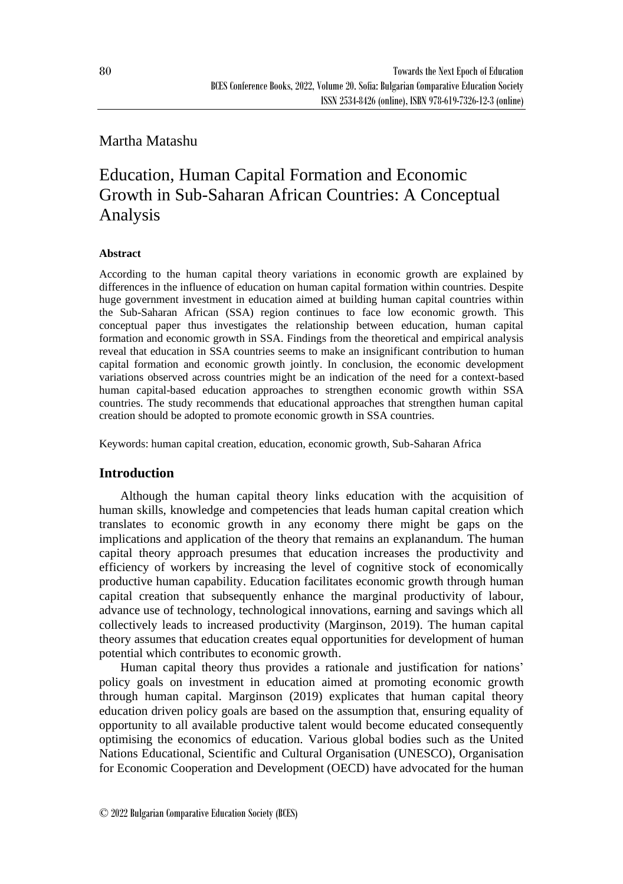# Martha Matashu

# Education, Human Capital Formation and Economic Growth in Sub-Saharan African Countries: A Conceptual Analysis

### **Abstract**

According to the human capital theory variations in economic growth are explained by differences in the influence of education on human capital formation within countries. Despite huge government investment in education aimed at building human capital countries within the Sub-Saharan African (SSA) region continues to face low economic growth. This conceptual paper thus investigates the relationship between education, human capital formation and economic growth in SSA. Findings from the theoretical and empirical analysis reveal that education in SSA countries seems to make an insignificant contribution to human capital formation and economic growth jointly. In conclusion, the economic development variations observed across countries might be an indication of the need for a context-based human capital-based education approaches to strengthen economic growth within SSA countries. The study recommends that educational approaches that strengthen human capital creation should be adopted to promote economic growth in SSA countries.

Keywords: human capital creation, education, economic growth, Sub-Saharan Africa

## **Introduction**

Although the human capital theory links education with the acquisition of human skills, knowledge and competencies that leads human capital creation which translates to economic growth in any economy there might be gaps on the implications and application of the theory that remains an explanandum*.* The human capital theory approach presumes that education increases the productivity and efficiency of workers by increasing the level of cognitive stock of economically productive human capability. Education facilitates economic growth through human capital creation that subsequently enhance the marginal productivity of labour, advance use of technology, technological innovations, earning and savings which all collectively leads to increased productivity (Marginson, 2019). The human capital theory assumes that education creates equal opportunities for development of human potential which contributes to economic growth.

Human capital theory thus provides a rationale and justification for nations' policy goals on investment in education aimed at promoting economic growth through human capital. Marginson (2019) explicates that human capital theory education driven policy goals are based on the assumption that, ensuring equality of opportunity to all available productive talent would become educated consequently optimising the economics of education. Various global bodies such as the United Nations Educational, Scientific and Cultural Organisation (UNESCO), Organisation for Economic Cooperation and Development (OECD) have advocated for the human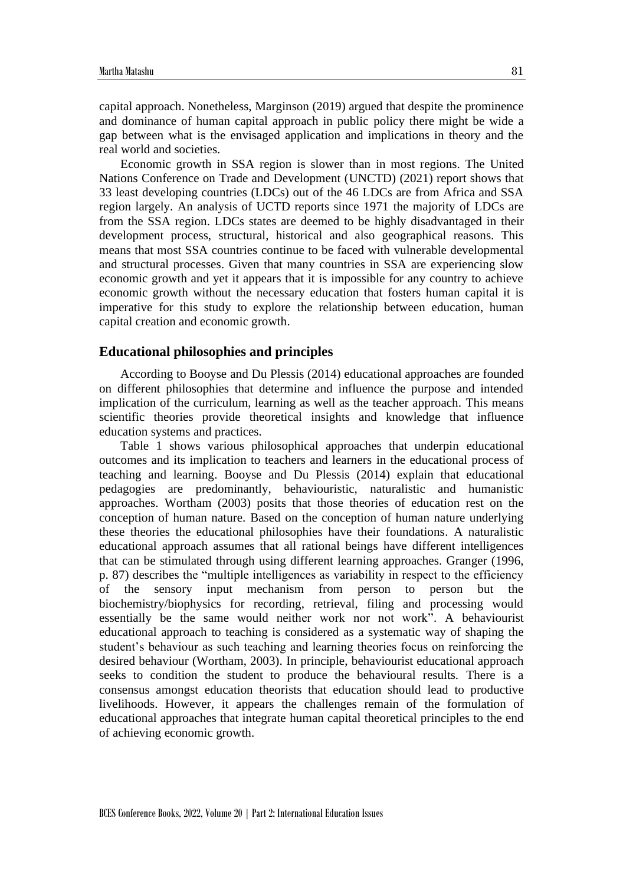capital approach. Nonetheless, Marginson (2019) argued that despite the prominence and dominance of human capital approach in public policy there might be wide a gap between what is the envisaged application and implications in theory and the real world and societies.

Economic growth in SSA region is slower than in most regions. The United Nations Conference on Trade and Development (UNCTD) (2021) report shows that 33 least developing countries (LDCs) out of the 46 LDCs are from Africa and SSA region largely. An analysis of UCTD reports since 1971 the majority of LDCs are from the SSA region. LDCs states are deemed to be highly disadvantaged in their development process, structural, historical and also geographical reasons. This means that most SSA countries continue to be faced with vulnerable developmental and structural processes. Given that many countries in SSA are experiencing slow economic growth and yet it appears that it is impossible for any country to achieve economic growth without the necessary education that fosters human capital it is imperative for this study to explore the relationship between education, human capital creation and economic growth.

#### **Educational philosophies and principles**

According to Booyse and Du Plessis (2014) educational approaches are founded on different philosophies that determine and influence the purpose and intended implication of the curriculum, learning as well as the teacher approach. This means scientific theories provide theoretical insights and knowledge that influence education systems and practices.

Table 1 shows various philosophical approaches that underpin educational outcomes and its implication to teachers and learners in the educational process of teaching and learning. Booyse and Du Plessis (2014) explain that educational pedagogies are predominantly, behaviouristic, naturalistic and humanistic approaches. Wortham (2003) posits that those theories of education rest on the conception of human nature. Based on the conception of human nature underlying these theories the educational philosophies have their foundations. A naturalistic educational approach assumes that all rational beings have different intelligences that can be stimulated through using different learning approaches. Granger (1996, p. 87) describes the "multiple intelligences as variability in respect to the efficiency of the sensory input mechanism from person to person but the biochemistry/biophysics for recording, retrieval, filing and processing would essentially be the same would neither work nor not work". A behaviourist educational approach to teaching is considered as a systematic way of shaping the student's behaviour as such teaching and learning theories focus on reinforcing the desired behaviour (Wortham, 2003). In principle, behaviourist educational approach seeks to condition the student to produce the behavioural results. There is a consensus amongst education theorists that education should lead to productive livelihoods. However, it appears the challenges remain of the formulation of educational approaches that integrate human capital theoretical principles to the end of achieving economic growth.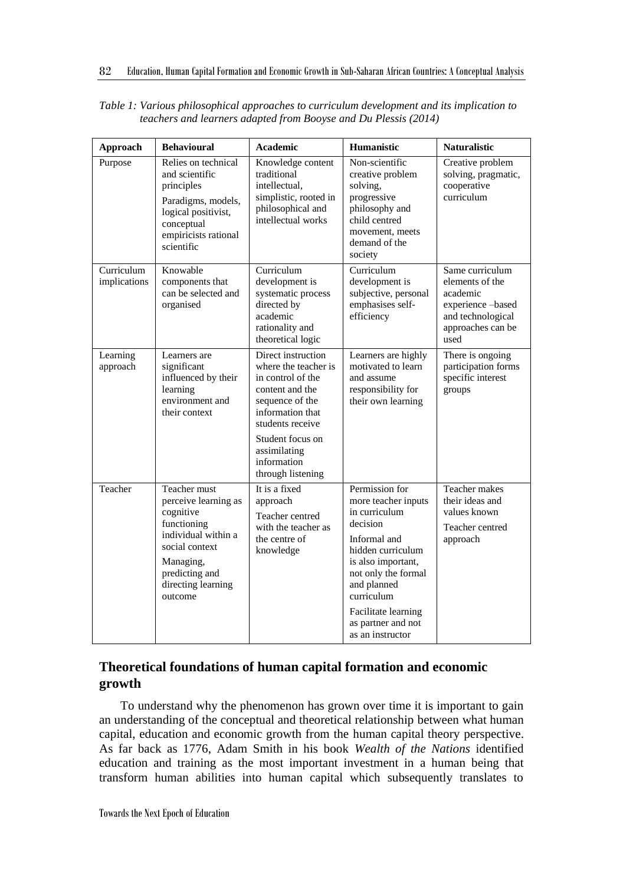| Approach                   | <b>Behavioural</b>                                                                                                                                                        | <b>Academic</b>                                                                                                                                                                                                       | Humanistic                                                                                                                                                                                                                                         | <b>Naturalistic</b>                                                                                                  |
|----------------------------|---------------------------------------------------------------------------------------------------------------------------------------------------------------------------|-----------------------------------------------------------------------------------------------------------------------------------------------------------------------------------------------------------------------|----------------------------------------------------------------------------------------------------------------------------------------------------------------------------------------------------------------------------------------------------|----------------------------------------------------------------------------------------------------------------------|
| Purpose                    | Relies on technical<br>and scientific<br>principles<br>Paradigms, models,<br>logical positivist,<br>conceptual<br>empiricists rational<br>scientific                      | Knowledge content<br>traditional<br>intellectual.<br>simplistic, rooted in<br>philosophical and<br>intellectual works                                                                                                 | Non-scientific<br>creative problem<br>solving,<br>progressive<br>philosophy and<br>child centred<br>movement, meets<br>demand of the<br>society                                                                                                    | Creative problem<br>solving, pragmatic,<br>cooperative<br>curriculum                                                 |
| Curriculum<br>implications | Knowable<br>components that<br>can be selected and<br>organised                                                                                                           | Curriculum<br>development is<br>systematic process<br>directed by<br>academic<br>rationality and<br>theoretical logic                                                                                                 | Curriculum<br>development is<br>subjective, personal<br>emphasises self-<br>efficiency                                                                                                                                                             | Same curriculum<br>elements of the<br>academic<br>experience-based<br>and technological<br>approaches can be<br>used |
| Learning<br>approach       | Learners are<br>significant<br>influenced by their<br>learning<br>environment and<br>their context                                                                        | Direct instruction<br>where the teacher is<br>in control of the<br>content and the<br>sequence of the<br>information that<br>students receive<br>Student focus on<br>assimilating<br>information<br>through listening | Learners are highly<br>motivated to learn<br>and assume<br>responsibility for<br>their own learning                                                                                                                                                | There is ongoing<br>participation forms<br>specific interest<br>groups                                               |
| Teacher                    | Teacher must<br>perceive learning as<br>cognitive<br>functioning<br>individual within a<br>social context<br>Managing,<br>predicting and<br>directing learning<br>outcome | It is a fixed<br>approach<br>Teacher centred<br>with the teacher as<br>the centre of<br>knowledge                                                                                                                     | Permission for<br>more teacher inputs<br>in curriculum<br>decision<br>Informal and<br>hidden curriculum<br>is also important,<br>not only the formal<br>and planned<br>curriculum<br>Facilitate learning<br>as partner and not<br>as an instructor | Teacher makes<br>their ideas and<br>values known<br>Teacher centred<br>approach                                      |

*Table 1: Various philosophical approaches to curriculum development and its implication to teachers and learners adapted from Booyse and Du Plessis (2014)*

# **Theoretical foundations of human capital formation and economic growth**

To understand why the phenomenon has grown over time it is important to gain an understanding of the conceptual and theoretical relationship between what human capital, education and economic growth from the human capital theory perspective. As far back as 1776, Adam Smith in his book *Wealth of the Nations* identified education and training as the most important investment in a human being that transform human abilities into human capital which subsequently translates to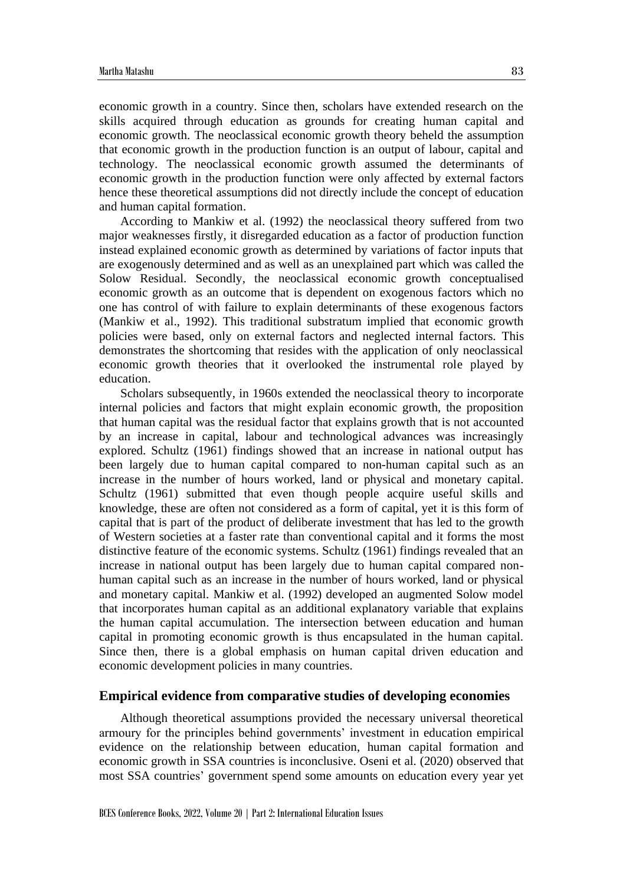economic growth in a country. Since then, scholars have extended research on the skills acquired through education as grounds for creating human capital and economic growth. The neoclassical economic growth theory beheld the assumption that economic growth in the production function is an output of labour, capital and technology. The neoclassical economic growth assumed the determinants of economic growth in the production function were only affected by external factors hence these theoretical assumptions did not directly include the concept of education and human capital formation.

According to Mankiw et al. (1992) the neoclassical theory suffered from two major weaknesses firstly, it disregarded education as a factor of production function instead explained economic growth as determined by variations of factor inputs that are exogenously determined and as well as an unexplained part which was called the Solow Residual. Secondly, the neoclassical economic growth conceptualised economic growth as an outcome that is dependent on exogenous factors which no one has control of with failure to explain determinants of these exogenous factors (Mankiw et al., 1992). This traditional substratum implied that economic growth policies were based, only on external factors and neglected internal factors. This demonstrates the shortcoming that resides with the application of only neoclassical economic growth theories that it overlooked the instrumental role played by education.

Scholars subsequently, in 1960s extended the neoclassical theory to incorporate internal policies and factors that might explain economic growth, the proposition that human capital was the residual factor that explains growth that is not accounted by an increase in capital, labour and technological advances was increasingly explored. Schultz (1961) findings showed that an increase in national output has been largely due to human capital compared to non-human capital such as an increase in the number of hours worked, land or physical and monetary capital. Schultz (1961) submitted that even though people acquire useful skills and knowledge, these are often not considered as a form of capital, yet it is this form of capital that is part of the product of deliberate investment that has led to the growth of Western societies at a faster rate than conventional capital and it forms the most distinctive feature of the economic systems. Schultz (1961) findings revealed that an increase in national output has been largely due to human capital compared nonhuman capital such as an increase in the number of hours worked, land or physical and monetary capital. Mankiw et al. (1992) developed an augmented Solow model that incorporates human capital as an additional explanatory variable that explains the human capital accumulation. The intersection between education and human capital in promoting economic growth is thus encapsulated in the human capital. Since then, there is a global emphasis on human capital driven education and economic development policies in many countries.

#### **Empirical evidence from comparative studies of developing economies**

Although theoretical assumptions provided the necessary universal theoretical armoury for the principles behind governments' investment in education empirical evidence on the relationship between education, human capital formation and economic growth in SSA countries is inconclusive. Oseni et al. (2020) observed that most SSA countries' government spend some amounts on education every year yet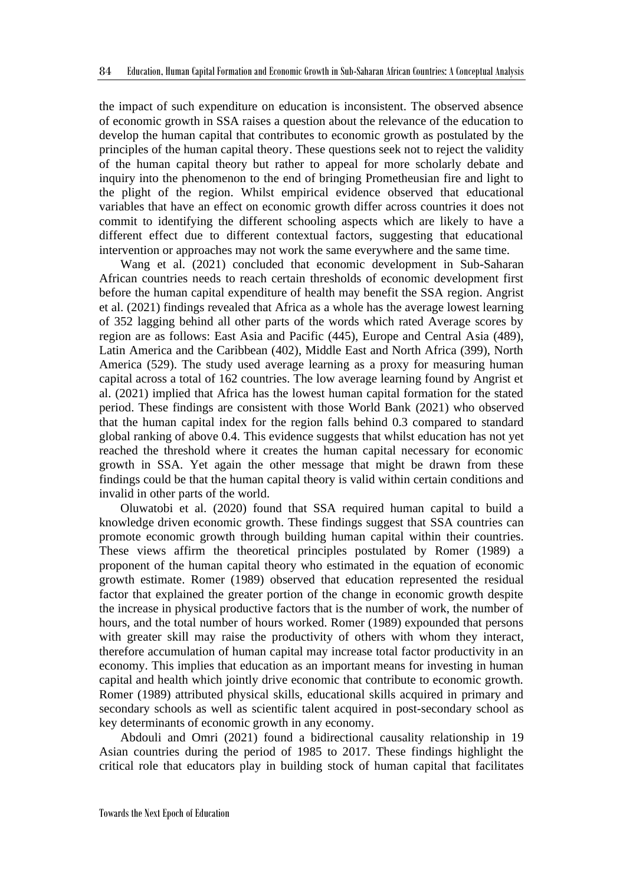the impact of such expenditure on education is inconsistent. The observed absence of economic growth in SSA raises a question about the relevance of the education to develop the human capital that contributes to economic growth as postulated by the principles of the human capital theory. These questions seek not to reject the validity of the human capital theory but rather to appeal for more scholarly debate and inquiry into the phenomenon to the end of bringing Prometheusian fire and light to the plight of the region. Whilst empirical evidence observed that educational variables that have an effect on economic growth differ across countries it does not commit to identifying the different schooling aspects which are likely to have a different effect due to different contextual factors, suggesting that educational intervention or approaches may not work the same everywhere and the same time.

Wang et al. (2021) concluded that economic development in Sub-Saharan African countries needs to reach certain thresholds of economic development first before the human capital expenditure of health may benefit the SSA region. Angrist et al. (2021) findings revealed that Africa as a whole has the average lowest learning of 352 lagging behind all other parts of the words which rated Average scores by region are as follows: East Asia and Pacific (445), Europe and Central Asia (489), Latin America and the Caribbean (402), Middle East and North Africa (399), North America (529). The study used average learning as a proxy for measuring human capital across a total of 162 countries. The low average learning found by Angrist et al. (2021) implied that Africa has the lowest human capital formation for the stated period. These findings are consistent with those World Bank (2021) who observed that the human capital index for the region falls behind 0.3 compared to standard global ranking of above 0.4. This evidence suggests that whilst education has not yet reached the threshold where it creates the human capital necessary for economic growth in SSA. Yet again the other message that might be drawn from these findings could be that the human capital theory is valid within certain conditions and invalid in other parts of the world.

Oluwatobi et al. (2020) found that SSA required human capital to build a knowledge driven economic growth. These findings suggest that SSA countries can promote economic growth through building human capital within their countries. These views affirm the theoretical principles postulated by Romer (1989) a proponent of the human capital theory who estimated in the equation of economic growth estimate. Romer (1989) observed that education represented the residual factor that explained the greater portion of the change in economic growth despite the increase in physical productive factors that is the number of work, the number of hours, and the total number of hours worked. Romer (1989) expounded that persons with greater skill may raise the productivity of others with whom they interact, therefore accumulation of human capital may increase total factor productivity in an economy. This implies that education as an important means for investing in human capital and health which jointly drive economic that contribute to economic growth. Romer (1989) attributed physical skills, educational skills acquired in primary and secondary schools as well as scientific talent acquired in post-secondary school as key determinants of economic growth in any economy.

Abdouli and Omri (2021) found a bidirectional causality relationship in 19 Asian countries during the period of 1985 to 2017. These findings highlight the critical role that educators play in building stock of human capital that facilitates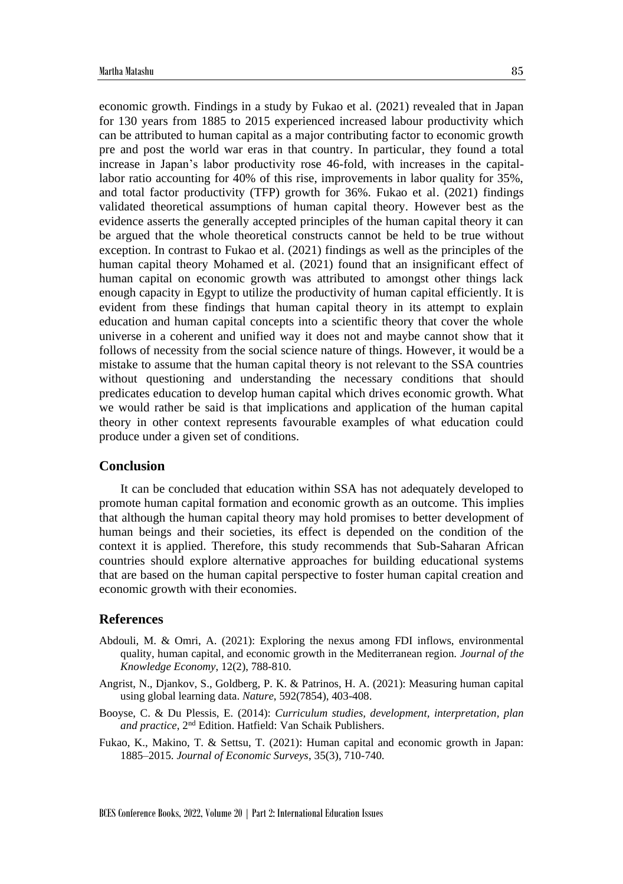economic growth. Findings in a study by Fukao et al. (2021) revealed that in Japan for 130 years from 1885 to 2015 experienced increased labour productivity which can be attributed to human capital as a major contributing factor to economic growth pre and post the world war eras in that country. In particular, they found a total increase in Japan's labor productivity rose 46-fold, with increases in the capitallabor ratio accounting for 40% of this rise, improvements in labor quality for 35%, and total factor productivity (TFP) growth for 36%. Fukao et al. (2021) findings validated theoretical assumptions of human capital theory. However best as the evidence asserts the generally accepted principles of the human capital theory it can be argued that the whole theoretical constructs cannot be held to be true without exception. In contrast to Fukao et al. (2021) findings as well as the principles of the human capital theory Mohamed et al. (2021) found that an insignificant effect of human capital on economic growth was attributed to amongst other things lack enough capacity in Egypt to utilize the productivity of human capital efficiently. It is evident from these findings that human capital theory in its attempt to explain education and human capital concepts into a scientific theory that cover the whole universe in a coherent and unified way it does not and maybe cannot show that it follows of necessity from the social science nature of things. However, it would be a mistake to assume that the human capital theory is not relevant to the SSA countries without questioning and understanding the necessary conditions that should predicates education to develop human capital which drives economic growth. What we would rather be said is that implications and application of the human capital theory in other context represents favourable examples of what education could produce under a given set of conditions.

#### **Conclusion**

It can be concluded that education within SSA has not adequately developed to promote human capital formation and economic growth as an outcome. This implies that although the human capital theory may hold promises to better development of human beings and their societies, its effect is depended on the condition of the context it is applied. Therefore, this study recommends that Sub-Saharan African countries should explore alternative approaches for building educational systems that are based on the human capital perspective to foster human capital creation and economic growth with their economies.

#### **References**

- Abdouli, M. & Omri, A. (2021): Exploring the nexus among FDI inflows, environmental quality, human capital, and economic growth in the Mediterranean region. *Journal of the Knowledge Economy*, 12(2), 788-810.
- Angrist, N., Djankov, S., Goldberg, P. K. & Patrinos, H. A. (2021): Measuring human capital using global learning data. *Nature*, 592(7854), 403-408.
- Booyse, C. & Du Plessis, E. (2014): *Curriculum studies, development, interpretation, plan and practice*, 2nd Edition. Hatfield: Van Schaik Publishers.
- Fukao, K., Makino, T. & Settsu, T. (2021): Human capital and economic growth in Japan: 1885–2015. *Journal of Economic Surveys*, 35(3), 710-740.

BCES Conference Books, 2022, Volume 20 | Part 2: International Education Issues